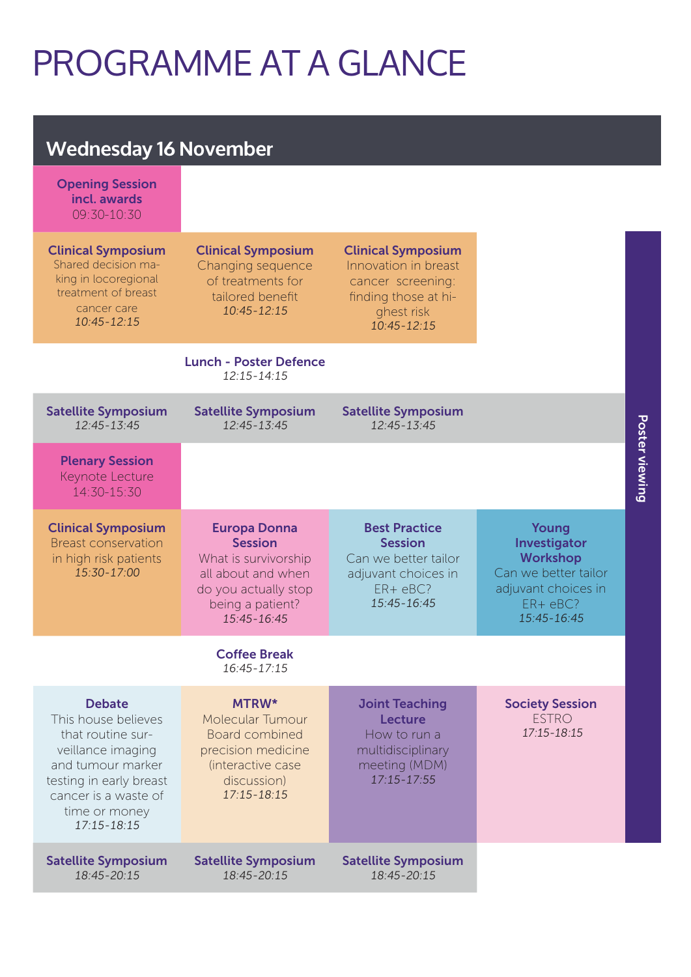## PROGRAMME AT A GLANCE

| <b>Wednesday 16 November</b>                                                                                                                                                           |                                                                                                                                                    |                                                                                                                             |                                                                                                                       |                       |  |  |  |
|----------------------------------------------------------------------------------------------------------------------------------------------------------------------------------------|----------------------------------------------------------------------------------------------------------------------------------------------------|-----------------------------------------------------------------------------------------------------------------------------|-----------------------------------------------------------------------------------------------------------------------|-----------------------|--|--|--|
| <b>Opening Session</b><br>incl. awards<br>09:30-10:30                                                                                                                                  |                                                                                                                                                    |                                                                                                                             |                                                                                                                       |                       |  |  |  |
| <b>Clinical Symposium</b><br>Shared decision ma-<br>king in locoregional<br>treatment of breast<br>cancer care<br>10:45-12:15                                                          | <b>Clinical Symposium</b><br>Changing sequence<br>of treatments for<br>tailored benefit<br>10:45-12:15                                             | <b>Clinical Symposium</b><br>Innovation in breast<br>cancer screening:<br>finding those at hi-<br>ghest risk<br>10:45-12:15 |                                                                                                                       |                       |  |  |  |
|                                                                                                                                                                                        | <b>Lunch - Poster Defence</b><br>$12:15 - 14:15$                                                                                                   |                                                                                                                             |                                                                                                                       |                       |  |  |  |
| <b>Satellite Symposium</b><br>12:45-13:45                                                                                                                                              | <b>Satellite Symposium</b><br>12:45-13:45                                                                                                          | <b>Satellite Symposium</b><br>12:45-13:45                                                                                   |                                                                                                                       |                       |  |  |  |
| <b>Plenary Session</b><br>Keynote Lecture<br>14:30-15:30                                                                                                                               |                                                                                                                                                    |                                                                                                                             |                                                                                                                       | <b>Poster viewing</b> |  |  |  |
| <b>Clinical Symposium</b><br><b>Breast conservation</b><br>in high risk patients<br>15:30-17:00                                                                                        | <b>Europa Donna</b><br><b>Session</b><br>What is survivorship<br>all about and when<br>do you actually stop<br>being a patient?<br>$15:45 - 16:45$ | <b>Best Practice</b><br><b>Session</b><br>Can we better tailor<br>adjuvant choices in<br>$ER + eBC?$<br>15:45-16:45         | Young<br>Investigator<br><b>Workshop</b><br>Can we better tailor<br>adjuvant choices in<br>$ER + eBC?$<br>15:45-16:45 |                       |  |  |  |
|                                                                                                                                                                                        | <b>Coffee Break</b><br>16:45-17:15                                                                                                                 |                                                                                                                             |                                                                                                                       |                       |  |  |  |
| <b>Debate</b><br>This house believes<br>that routine sur-<br>veillance imaging<br>and tumour marker<br>testing in early breast<br>cancer is a waste of<br>time or money<br>17:15-18:15 | MTRW*<br>Molecular Tumour<br>Board combined<br>precision medicine<br>(interactive case<br>discussion)<br>17:15-18:15                               | <b>Joint Teaching</b><br><b>Lecture</b><br>How to run a<br>multidisciplinary<br>meeting (MDM)<br>17:15-17:55                | <b>Society Session</b><br><b>ESTRO</b><br>17:15-18:15                                                                 |                       |  |  |  |
| <b>Satellite Symposium</b><br>18:45-20:15                                                                                                                                              | <b>Satellite Symposium</b><br>18:45-20:15                                                                                                          | <b>Satellite Symposium</b><br>18:45-20:15                                                                                   |                                                                                                                       |                       |  |  |  |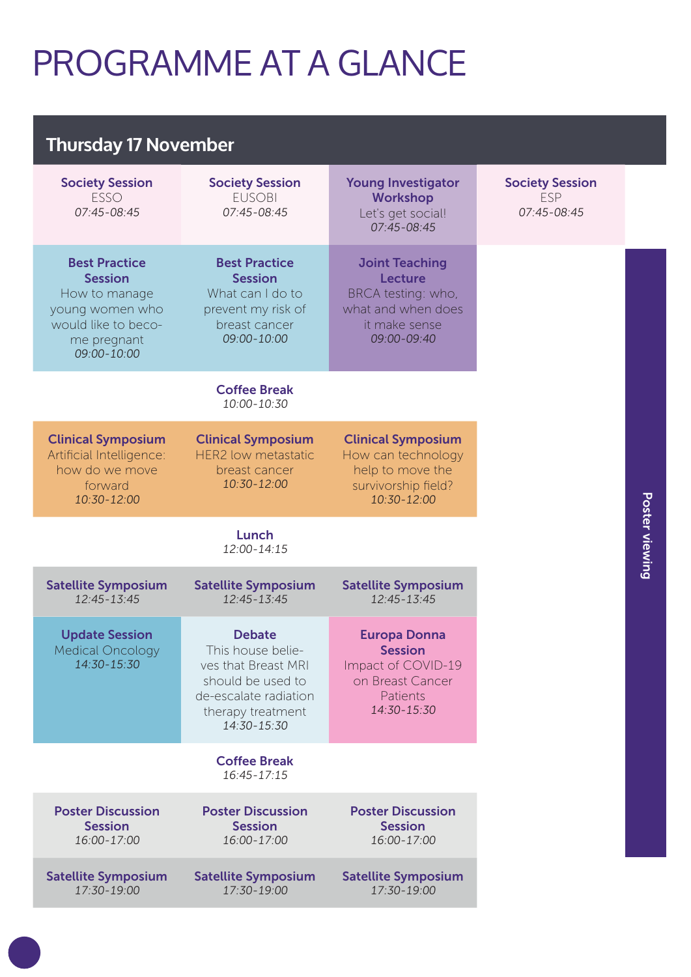## PROGRAMME AT A GLANCE

| <b>Thursday 17 November</b>                                                                                                     |                                                                                                                                             |                                                                                                                     |                                                     |  |  |  |  |
|---------------------------------------------------------------------------------------------------------------------------------|---------------------------------------------------------------------------------------------------------------------------------------------|---------------------------------------------------------------------------------------------------------------------|-----------------------------------------------------|--|--|--|--|
| <b>Society Session</b><br><b>ESSO</b><br>07:45-08:45                                                                            | <b>Society Session</b><br><b>EUSOBI</b><br>07:45-08:45                                                                                      | <b>Young Investigator</b><br><b>Workshop</b><br>Let's get social!<br>07:45-08:45                                    | <b>Society Session</b><br><b>ESP</b><br>07:45-08:45 |  |  |  |  |
| <b>Best Practice</b><br><b>Session</b><br>How to manage<br>young women who<br>would like to beco-<br>me pregnant<br>09:00-10:00 | <b>Best Practice</b><br><b>Session</b><br>What can I do to<br>prevent my risk of<br>breast cancer<br>09:00-10:00                            | <b>Joint Teaching</b><br><b>Lecture</b><br>BRCA testing: who,<br>what and when does<br>it make sense<br>09:00-09:40 |                                                     |  |  |  |  |
|                                                                                                                                 | <b>Coffee Break</b><br>$10:00 - 10:30$                                                                                                      |                                                                                                                     |                                                     |  |  |  |  |
| <b>Clinical Symposium</b><br>Artificial Intelligence:<br>how do we move<br>forward<br>10:30-12:00                               | <b>Clinical Symposium</b><br><b>HER2 low metastatic</b><br>breast cancer<br>10:30-12:00                                                     | <b>Clinical Symposium</b><br>How can technology<br>help to move the<br>survivorship field?<br>10:30-12:00           |                                                     |  |  |  |  |
|                                                                                                                                 |                                                                                                                                             |                                                                                                                     |                                                     |  |  |  |  |
|                                                                                                                                 | Lunch<br>12:00-14:15                                                                                                                        |                                                                                                                     |                                                     |  |  |  |  |
| <b>Satellite Symposium</b><br>12:45-13:45                                                                                       | <b>Satellite Symposium</b><br>12:45-13:45                                                                                                   | <b>Satellite Symposium</b><br>12:45-13:45                                                                           |                                                     |  |  |  |  |
| <b>Update Session</b><br><b>Medical Oncology</b><br>14:30-15:30                                                                 | <b>Debate</b><br>This house belie-<br>ves that Breast MRI<br>should be used to<br>de-escalate radiation<br>therapy treatment<br>14:30-15:30 | <b>Europa Donna</b><br><b>Session</b><br>Impact of COVID-19<br>on Breast Cancer<br>Patients<br>14:30-15:30          |                                                     |  |  |  |  |
|                                                                                                                                 | <b>Coffee Break</b><br>16:45-17:15                                                                                                          |                                                                                                                     |                                                     |  |  |  |  |
| <b>Poster Discussion</b><br><b>Session</b><br>16:00-17:00                                                                       | <b>Poster Discussion</b><br><b>Session</b><br>16:00-17:00                                                                                   | <b>Poster Discussion</b><br><b>Session</b><br>16:00-17:00                                                           |                                                     |  |  |  |  |